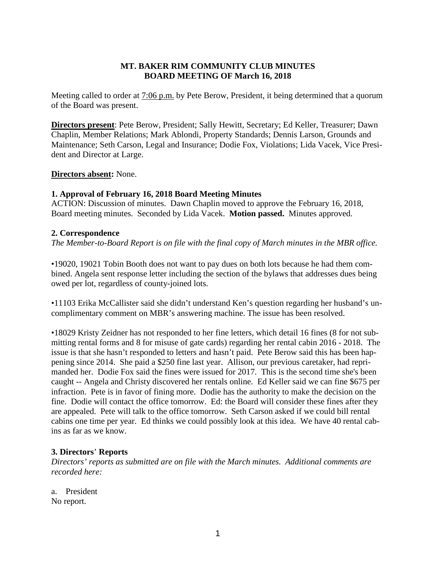# **MT. BAKER RIM COMMUNITY CLUB MINUTES BOARD MEETING OF March 16, 2018**

Meeting called to order at 7:06 p.m. by Pete Berow, President, it being determined that a quorum of the Board was present.

**Directors present**: Pete Berow, President; Sally Hewitt, Secretary; Ed Keller, Treasurer; Dawn Chaplin, Member Relations; Mark Ablondi, Property Standards; Dennis Larson, Grounds and Maintenance; Seth Carson, Legal and Insurance; Dodie Fox, Violations; Lida Vacek, Vice President and Director at Large.

# **Directors absent:** None.

# **1. Approval of February 16, 2018 Board Meeting Minutes**

ACTION: Discussion of minutes. Dawn Chaplin moved to approve the February 16, 2018, Board meeting minutes. Seconded by Lida Vacek. **Motion passed.** Minutes approved.

# **2. Correspondence**

*The Member-to-Board Report is on file with the final copy of March minutes in the MBR office.*

•19020, 19021 Tobin Booth does not want to pay dues on both lots because he had them combined. Angela sent response letter including the section of the bylaws that addresses dues being owed per lot, regardless of county-joined lots.

•11103 Erika McCallister said she didn't understand Ken's question regarding her husband's uncomplimentary comment on MBR's answering machine. The issue has been resolved.

•18029 Kristy Zeidner has not responded to her fine letters, which detail 16 fines (8 for not submitting rental forms and 8 for misuse of gate cards) regarding her rental cabin 2016 - 2018. The issue is that she hasn't responded to letters and hasn't paid. Pete Berow said this has been happening since 2014. She paid a \$250 fine last year. Allison, our previous caretaker, had reprimanded her. Dodie Fox said the fines were issued for 2017. This is the second time she's been caught -- Angela and Christy discovered her rentals online. Ed Keller said we can fine \$675 per infraction. Pete is in favor of fining more. Dodie has the authority to make the decision on the fine. Dodie will contact the office tomorrow. Ed: the Board will consider these fines after they are appealed. Pete will talk to the office tomorrow. Seth Carson asked if we could bill rental cabins one time per year. Ed thinks we could possibly look at this idea. We have 40 rental cabins as far as we know.

#### **3. Directors**' **Reports**

*Directors' reports as submitted are on file with the March minutes. Additional comments are recorded here:*

a. President No report.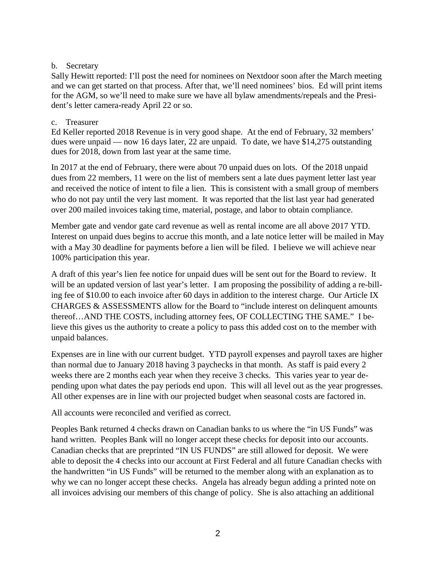# b. Secretary

Sally Hewitt reported: I'll post the need for nominees on Nextdoor soon after the March meeting and we can get started on that process. After that, we'll need nominees' bios. Ed will print items for the AGM, so we'll need to make sure we have all bylaw amendments/repeals and the President's letter camera-ready April 22 or so.

# c. Treasurer

Ed Keller reported 2018 Revenue is in very good shape. At the end of February, 32 members' dues were unpaid — now 16 days later, 22 are unpaid. To date, we have \$14,275 outstanding dues for 2018, down from last year at the same time.

In 2017 at the end of February, there were about 70 unpaid dues on lots. Of the 2018 unpaid dues from 22 members, 11 were on the list of members sent a late dues payment letter last year and received the notice of intent to file a lien. This is consistent with a small group of members who do not pay until the very last moment. It was reported that the list last year had generated over 200 mailed invoices taking time, material, postage, and labor to obtain compliance.

Member gate and vendor gate card revenue as well as rental income are all above 2017 YTD. Interest on unpaid dues begins to accrue this month, and a late notice letter will be mailed in May with a May 30 deadline for payments before a lien will be filed. I believe we will achieve near 100% participation this year.

A draft of this year's lien fee notice for unpaid dues will be sent out for the Board to review. It will be an updated version of last year's letter. I am proposing the possibility of adding a re-billing fee of \$10.00 to each invoice after 60 days in addition to the interest charge. Our Article IX CHARGES & ASSESSMENTS allow for the Board to "include interest on delinquent amounts thereof…AND THE COSTS, including attorney fees, OF COLLECTING THE SAME." I believe this gives us the authority to create a policy to pass this added cost on to the member with unpaid balances.

Expenses are in line with our current budget. YTD payroll expenses and payroll taxes are higher than normal due to January 2018 having 3 paychecks in that month. As staff is paid every 2 weeks there are 2 months each year when they receive 3 checks. This varies year to year depending upon what dates the pay periods end upon. This will all level out as the year progresses. All other expenses are in line with our projected budget when seasonal costs are factored in.

All accounts were reconciled and verified as correct.

Peoples Bank returned 4 checks drawn on Canadian banks to us where the "in US Funds" was hand written. Peoples Bank will no longer accept these checks for deposit into our accounts. Canadian checks that are preprinted "IN US FUNDS" are still allowed for deposit. We were able to deposit the 4 checks into our account at First Federal and all future Canadian checks with the handwritten "in US Funds" will be returned to the member along with an explanation as to why we can no longer accept these checks. Angela has already begun adding a printed note on all invoices advising our members of this change of policy. She is also attaching an additional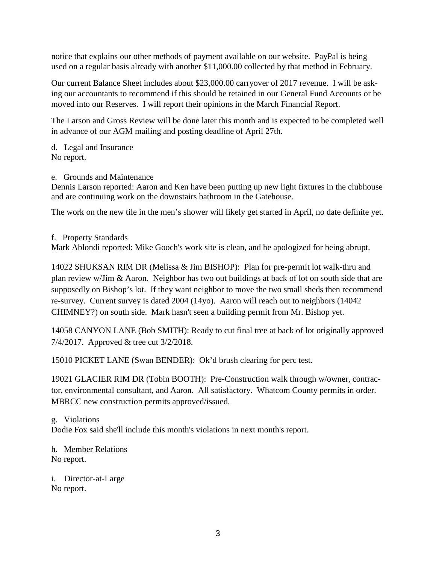notice that explains our other methods of payment available on our website. PayPal is being used on a regular basis already with another \$11,000.00 collected by that method in February.

Our current Balance Sheet includes about \$23,000.00 carryover of 2017 revenue. I will be asking our accountants to recommend if this should be retained in our General Fund Accounts or be moved into our Reserves. I will report their opinions in the March Financial Report.

The Larson and Gross Review will be done later this month and is expected to be completed well in advance of our AGM mailing and posting deadline of April 27th.

d. Legal and Insurance No report.

e. Grounds and Maintenance

Dennis Larson reported: Aaron and Ken have been putting up new light fixtures in the clubhouse and are continuing work on the downstairs bathroom in the Gatehouse.

The work on the new tile in the men's shower will likely get started in April, no date definite yet.

#### f. Property Standards

Mark Ablondi reported: Mike Gooch's work site is clean, and he apologized for being abrupt.

14022 SHUKSAN RIM DR (Melissa & Jim BISHOP): Plan for pre-permit lot walk-thru and plan review w/Jim & Aaron. Neighbor has two out buildings at back of lot on south side that are supposedly on Bishop's lot. If they want neighbor to move the two small sheds then recommend re-survey. Current survey is dated 2004 (14yo). Aaron will reach out to neighbors (14042 CHIMNEY?) on south side. Mark hasn't seen a building permit from Mr. Bishop yet.

14058 CANYON LANE (Bob SMITH): Ready to cut final tree at back of lot originally approved 7/4/2017. Approved & tree cut 3/2/2018.

15010 PICKET LANE (Swan BENDER): Ok'd brush clearing for perc test.

19021 GLACIER RIM DR (Tobin BOOTH): Pre-Construction walk through w/owner, contractor, environmental consultant, and Aaron. All satisfactory. Whatcom County permits in order. MBRCC new construction permits approved/issued.

g. Violations Dodie Fox said she'll include this month's violations in next month's report.

h. Member Relations No report.

i. Director-at-Large No report.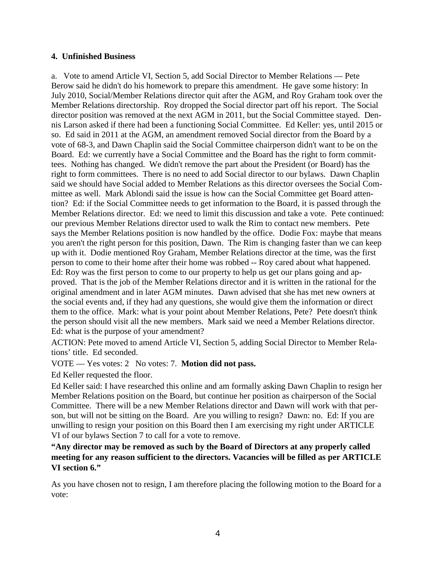# **4. Unfinished Business**

a. Vote to amend Article VI, Section 5, add Social Director to Member Relations — Pete Berow said he didn't do his homework to prepare this amendment. He gave some history: In July 2010, Social/Member Relations director quit after the AGM, and Roy Graham took over the Member Relations directorship. Roy dropped the Social director part off his report. The Social director position was removed at the next AGM in 2011, but the Social Committee stayed. Dennis Larson asked if there had been a functioning Social Committee. Ed Keller: yes, until 2015 or so. Ed said in 2011 at the AGM, an amendment removed Social director from the Board by a vote of 68-3, and Dawn Chaplin said the Social Committee chairperson didn't want to be on the Board. Ed: we currently have a Social Committee and the Board has the right to form committees. Nothing has changed. We didn't remove the part about the President (or Board) has the right to form committees. There is no need to add Social director to our bylaws. Dawn Chaplin said we should have Social added to Member Relations as this director oversees the Social Committee as well. Mark Ablondi said the issue is how can the Social Committee get Board attention? Ed: if the Social Committee needs to get information to the Board, it is passed through the Member Relations director. Ed: we need to limit this discussion and take a vote. Pete continued: our previous Member Relations director used to walk the Rim to contact new members. Pete says the Member Relations position is now handled by the office. Dodie Fox: maybe that means you aren't the right person for this position, Dawn. The Rim is changing faster than we can keep up with it. Dodie mentioned Roy Graham, Member Relations director at the time, was the first person to come to their home after their home was robbed -- Roy cared about what happened. Ed: Roy was the first person to come to our property to help us get our plans going and approved. That is the job of the Member Relations director and it is written in the rational for the original amendment and in later AGM minutes. Dawn advised that she has met new owners at the social events and, if they had any questions, she would give them the information or direct them to the office. Mark: what is your point about Member Relations, Pete? Pete doesn't think the person should visit all the new members. Mark said we need a Member Relations director. Ed: what is the purpose of your amendment?

ACTION: Pete moved to amend Article VI, Section 5, adding Social Director to Member Relations' title. Ed seconded.

VOTE — Yes votes: 2 No votes: 7. **Motion did not pass.**

Ed Keller requested the floor.

Ed Keller said: I have researched this online and am formally asking Dawn Chaplin to resign her Member Relations position on the Board, but continue her position as chairperson of the Social Committee. There will be a new Member Relations director and Dawn will work with that person, but will not be sitting on the Board. Are you willing to resign? Dawn: no. Ed: If you are unwilling to resign your position on this Board then I am exercising my right under ARTICLE VI of our bylaws Section 7 to call for a vote to remove.

**"Any director may be removed as such by the Board of Directors at any properly called meeting for any reason sufficient to the directors. Vacancies will be filled as per ARTICLE VI section 6."**

As you have chosen not to resign, I am therefore placing the following motion to the Board for a vote: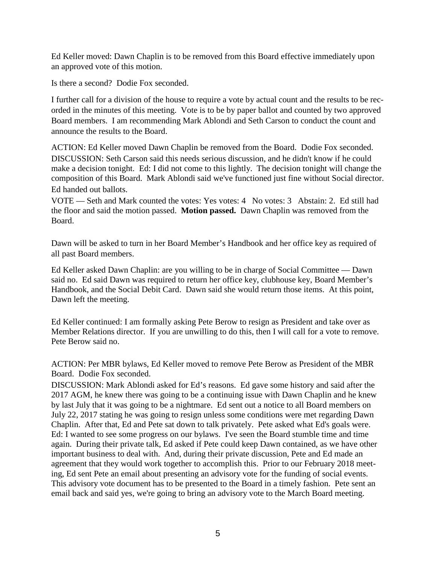Ed Keller moved: Dawn Chaplin is to be removed from this Board effective immediately upon an approved vote of this motion.

Is there a second? Dodie Fox seconded.

I further call for a division of the house to require a vote by actual count and the results to be recorded in the minutes of this meeting. Vote is to be by paper ballot and counted by two approved Board members. I am recommending Mark Ablondi and Seth Carson to conduct the count and announce the results to the Board.

ACTION: Ed Keller moved Dawn Chaplin be removed from the Board. Dodie Fox seconded. DISCUSSION: Seth Carson said this needs serious discussion, and he didn't know if he could make a decision tonight. Ed: I did not come to this lightly. The decision tonight will change the composition of this Board. Mark Ablondi said we've functioned just fine without Social director. Ed handed out ballots.

VOTE — Seth and Mark counted the votes: Yes votes: 4 No votes: 3 Abstain: 2. Ed still had the floor and said the motion passed. **Motion passed.** Dawn Chaplin was removed from the Board.

Dawn will be asked to turn in her Board Member's Handbook and her office key as required of all past Board members.

Ed Keller asked Dawn Chaplin: are you willing to be in charge of Social Committee — Dawn said no. Ed said Dawn was required to return her office key, clubhouse key, Board Member's Handbook, and the Social Debit Card. Dawn said she would return those items. At this point, Dawn left the meeting.

Ed Keller continued: I am formally asking Pete Berow to resign as President and take over as Member Relations director. If you are unwilling to do this, then I will call for a vote to remove. Pete Berow said no.

ACTION: Per MBR bylaws, Ed Keller moved to remove Pete Berow as President of the MBR Board. Dodie Fox seconded.

DISCUSSION: Mark Ablondi asked for Ed's reasons. Ed gave some history and said after the 2017 AGM, he knew there was going to be a continuing issue with Dawn Chaplin and he knew by last July that it was going to be a nightmare. Ed sent out a notice to all Board members on July 22, 2017 stating he was going to resign unless some conditions were met regarding Dawn Chaplin. After that, Ed and Pete sat down to talk privately. Pete asked what Ed's goals were. Ed: I wanted to see some progress on our bylaws. I've seen the Board stumble time and time again. During their private talk, Ed asked if Pete could keep Dawn contained, as we have other important business to deal with. And, during their private discussion, Pete and Ed made an agreement that they would work together to accomplish this. Prior to our February 2018 meeting, Ed sent Pete an email about presenting an advisory vote for the funding of social events. This advisory vote document has to be presented to the Board in a timely fashion. Pete sent an email back and said yes, we're going to bring an advisory vote to the March Board meeting.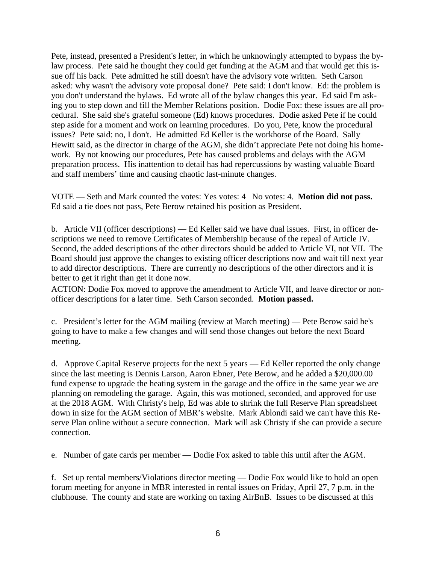Pete, instead, presented a President's letter, in which he unknowingly attempted to bypass the bylaw process. Pete said he thought they could get funding at the AGM and that would get this issue off his back. Pete admitted he still doesn't have the advisory vote written. Seth Carson asked: why wasn't the advisory vote proposal done? Pete said: I don't know. Ed: the problem is you don't understand the bylaws. Ed wrote all of the bylaw changes this year. Ed said I'm asking you to step down and fill the Member Relations position. Dodie Fox: these issues are all procedural. She said she's grateful someone (Ed) knows procedures. Dodie asked Pete if he could step aside for a moment and work on learning procedures. Do you, Pete, know the procedural issues? Pete said: no, I don't. He admitted Ed Keller is the workhorse of the Board. Sally Hewitt said, as the director in charge of the AGM, she didn't appreciate Pete not doing his homework. By not knowing our procedures, Pete has caused problems and delays with the AGM preparation process. His inattention to detail has had repercussions by wasting valuable Board and staff members' time and causing chaotic last-minute changes.

VOTE — Seth and Mark counted the votes: Yes votes: 4 No votes: 4. **Motion did not pass.** Ed said a tie does not pass, Pete Berow retained his position as President.

b. Article VII (officer descriptions) — Ed Keller said we have dual issues. First, in officer descriptions we need to remove Certificates of Membership because of the repeal of Article IV. Second, the added descriptions of the other directors should be added to Article VI, not VII. The Board should just approve the changes to existing officer descriptions now and wait till next year to add director descriptions. There are currently no descriptions of the other directors and it is better to get it right than get it done now.

ACTION: Dodie Fox moved to approve the amendment to Article VII, and leave director or nonofficer descriptions for a later time. Seth Carson seconded. **Motion passed.**

c. President's letter for the AGM mailing (review at March meeting) — Pete Berow said he's going to have to make a few changes and will send those changes out before the next Board meeting.

d. Approve Capital Reserve projects for the next 5 years — Ed Keller reported the only change since the last meeting is Dennis Larson, Aaron Ebner, Pete Berow, and he added a \$20,000.00 fund expense to upgrade the heating system in the garage and the office in the same year we are planning on remodeling the garage. Again, this was motioned, seconded, and approved for use at the 2018 AGM. With Christy's help, Ed was able to shrink the full Reserve Plan spreadsheet down in size for the AGM section of MBR's website. Mark Ablondi said we can't have this Reserve Plan online without a secure connection. Mark will ask Christy if she can provide a secure connection.

e. Number of gate cards per member — Dodie Fox asked to table this until after the AGM.

f. Set up rental members/Violations director meeting — Dodie Fox would like to hold an open forum meeting for anyone in MBR interested in rental issues on Friday, April 27, 7 p.m. in the clubhouse. The county and state are working on taxing AirBnB. Issues to be discussed at this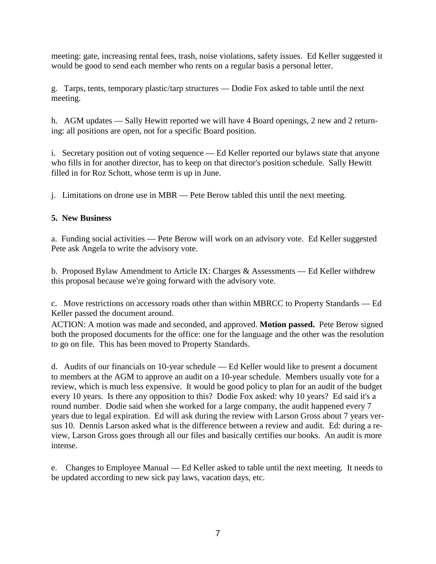meeting: gate, increasing rental fees, trash, noise violations, safety issues. Ed Keller suggested it would be good to send each member who rents on a regular basis a personal letter.

g. Tarps, tents, temporary plastic/tarp structures — Dodie Fox asked to table until the next meeting.

h. AGM updates — Sally Hewitt reported we will have 4 Board openings, 2 new and 2 returning: all positions are open, not for a specific Board position.

i. Secretary position out of voting sequence — Ed Keller reported our bylaws state that anyone who fills in for another director, has to keep on that director's position schedule. Sally Hewitt filled in for Roz Schott, whose term is up in June.

j. Limitations on drone use in MBR — Pete Berow tabled this until the next meeting.

# **5. New Business**

a. Funding social activities — Pete Berow will work on an advisory vote. Ed Keller suggested Pete ask Angela to write the advisory vote.

b. Proposed Bylaw Amendment to Article IX: Charges & Assessments — Ed Keller withdrew this proposal because we're going forward with the advisory vote.

c. Move restrictions on accessory roads other than within MBRCC to Property Standards — Ed Keller passed the document around.

ACTION: A motion was made and seconded, and approved. **Motion passed.** Pete Berow signed both the proposed documents for the office: one for the language and the other was the resolution to go on file. This has been moved to Property Standards.

d. Audits of our financials on 10-year schedule — Ed Keller would like to present a document to members at the AGM to approve an audit on a 10-year schedule. Members usually vote for a review, which is much less expensive. It would be good policy to plan for an audit of the budget every 10 years. Is there any opposition to this? Dodie Fox asked: why 10 years? Ed said it's a round number. Dodie said when she worked for a large company, the audit happened every 7 years due to legal expiration. Ed will ask during the review with Larson Gross about 7 years versus 10. Dennis Larson asked what is the difference between a review and audit. Ed: during a review, Larson Gross goes through all our files and basically certifies our books. An audit is more intense.

e. Changes to Employee Manual — Ed Keller asked to table until the next meeting. It needs to be updated according to new sick pay laws, vacation days, etc.